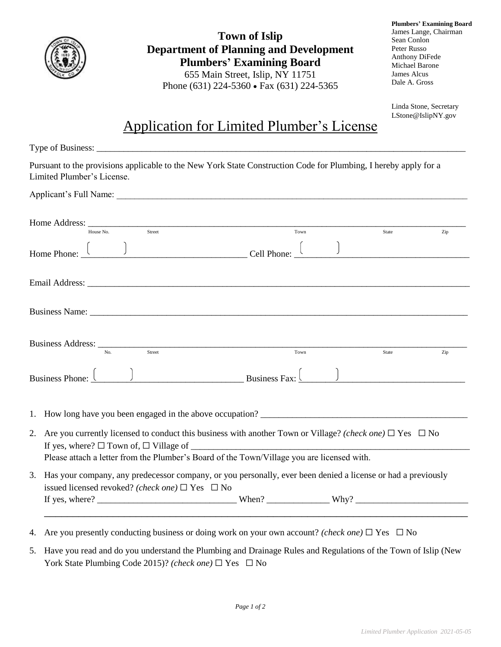

**Town of Islip Department of Planning and Development Plumbers' Examining Board** 655 Main Street, Islip, NY 11751 Phone (631) 224-5360 • Fax (631) 224-5365

**Plumbers' Examining Board** James Lange, Chairman Sean Conlon Peter Russo Anthony DiFede Michael Barone James Alcus Dale A. Gross

Linda Stone, Secretary LStone@IslipNY.gov

## Application for Limited Plumber's License

| Pursuant to the provisions applicable to the New York State Construction Code for Plumbing, I hereby apply for a<br>Limited Plumber's License.                                                                                |      |       |     |
|-------------------------------------------------------------------------------------------------------------------------------------------------------------------------------------------------------------------------------|------|-------|-----|
| Applicant's Full Name: 1988. The Second Second Second Second Second Second Second Second Second Second Second Second Second Second Second Second Second Second Second Second Second Second Second Second Second Second Second |      |       |     |
| Home Address: $\frac{1}{\text{House No.}}$<br>Street                                                                                                                                                                          | Town | State | Zip |
| Home Phone: $\begin{array}{c c} \begin{array}{c} \end{array} & \end{array}$ Cell Phone: $\begin{array}{c} \end{array}$                                                                                                        |      |       |     |
|                                                                                                                                                                                                                               |      |       |     |
|                                                                                                                                                                                                                               |      |       |     |
| Business Address: No. 31 Street                                                                                                                                                                                               | Town | State | Zip |
| Business Phone: $\begin{pmatrix} 0 & 1 \\ 0 & 1 \end{pmatrix}$ Business Fax: $\begin{pmatrix} 0 & 1 \\ 0 & 1 \end{pmatrix}$                                                                                                   |      |       |     |
| 1.                                                                                                                                                                                                                            |      |       |     |
| Are you currently licensed to conduct this business with another Town or Village? (check one) $\Box$ Yes $\Box$ No<br>2.<br>Please attach a letter from the Plumber's Board of the Town/Village you are licensed with.        |      |       |     |
| 3. Has your company, any predecessor company, or you personally, ever been denied a license or had a previously<br>issued licensed revoked? (check one) $\Box$ Yes $\Box$ No                                                  |      |       |     |
|                                                                                                                                                                                                                               |      |       |     |
| 4. Are you presently conducting business or doing work on your own account? (check one) $\Box$ Yes $\Box$ No                                                                                                                  |      |       |     |

5. Have you read and do you understand the Plumbing and Drainage Rules and Regulations of the Town of Islip (New York State Plumbing Code 2015)? *(check one)* ☐ Yes ☐ No